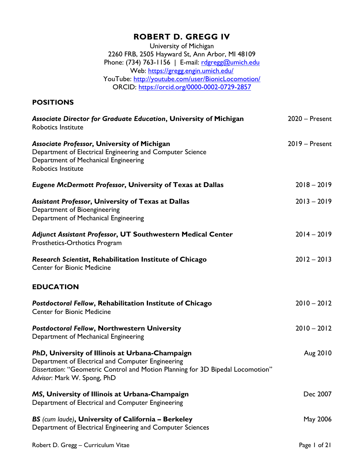# **ROBERT D. GREGG IV**

University of Michigan 2260 FRB, 2505 Hayward St, Ann Arbor, MI 48109 Phone: (734) 763-1156 | E-mail: [rdgregg@umich.edu](mailto:rdgregg@umich.edu) Web:<https://gregg.engin.umich.edu/> YouTube:<http://youtube.com/user/BionicLocomotion/> ORCID:<https://orcid.org/0000-0002-0729-2857>

## **POSITIONS**

| Associate Director for Graduate Education, University of Michigan<br><b>Robotics Institute</b>                                                                                                                         | $2020 -$ Present |
|------------------------------------------------------------------------------------------------------------------------------------------------------------------------------------------------------------------------|------------------|
| Associate Professor, University of Michigan<br>Department of Electrical Engineering and Computer Science<br>Department of Mechanical Engineering<br>Robotics Institute                                                 | 2019 - Present   |
| Eugene McDermott Professor, University of Texas at Dallas                                                                                                                                                              | $2018 - 2019$    |
| <b>Assistant Professor, University of Texas at Dallas</b><br>Department of Bioengineering<br>Department of Mechanical Engineering                                                                                      | $2013 - 2019$    |
| Adjunct Assistant Professor, UT Southwestern Medical Center<br>Prosthetics-Orthotics Program                                                                                                                           | $2014 - 2019$    |
| Research Scientist, Rehabilitation Institute of Chicago<br><b>Center for Bionic Medicine</b>                                                                                                                           | $2012 - 2013$    |
| <b>EDUCATION</b>                                                                                                                                                                                                       |                  |
| Postdoctoral Fellow, Rehabilitation Institute of Chicago<br><b>Center for Bionic Medicine</b>                                                                                                                          | $2010 - 2012$    |
| <b>Postdoctoral Fellow, Northwestern University</b><br>Department of Mechanical Engineering                                                                                                                            | $2010 - 2012$    |
| PhD, University of Illinois at Urbana-Champaign<br>Department of Electrical and Computer Engineering<br>Dissertation: "Geometric Control and Motion Planning for 3D Bipedal Locomotion"<br>Advisor: Mark W. Spong, PhD | Aug 2010         |
| MS, University of Illinois at Urbana-Champaign<br>Department of Electrical and Computer Engineering                                                                                                                    | Dec 2007         |
| BS (cum laude), University of California - Berkeley<br>Department of Electrical Engineering and Computer Sciences                                                                                                      | May 2006         |
|                                                                                                                                                                                                                        |                  |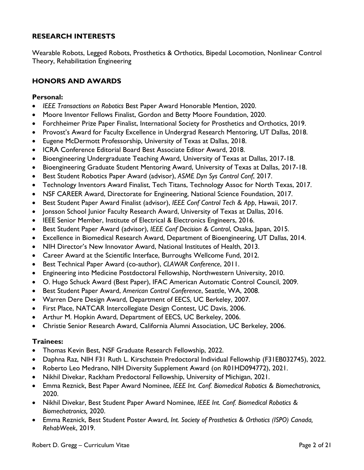### **RESEARCH INTERESTS**

Wearable Robots, Legged Robots, Prosthetics & Orthotics, Bipedal Locomotion, Nonlinear Control Theory, Rehabilitation Engineering

## **HONORS AND AWARDS**

#### **Personal:**

- *IEEE Transactions on Robotics* Best Paper Award Honorable Mention, 2020.
- Moore Inventor Fellows Finalist, Gordon and Betty Moore Foundation, 2020.
- Forchheimer Prize Paper Finalist, International Society for Prosthetics and Orthotics, 2019.
- Provost's Award for Faculty Excellence in Undergrad Research Mentoring, UT Dallas, 2018.
- Eugene McDermott Professorship, University of Texas at Dallas, 2018.
- ICRA Conference Editorial Board Best Associate Editor Award, 2018.
- Bioengineering Undergraduate Teaching Award, University of Texas at Dallas, 2017-18.
- Bioengineering Graduate Student Mentoring Award, University of Texas at Dallas, 2017-18.
- Best Student Robotics Paper Award (advisor), *ASME Dyn Sys Control Conf*, 2017.
- Technology Inventors Award Finalist, Tech Titans, Technology Assoc for North Texas, 2017.
- NSF CAREER Award, Directorate for Engineering, National Science Foundation, 2017.
- Best Student Paper Award Finalist (advisor), *IEEE Conf Control Tech & App*, Hawaii, 2017.
- Jonsson School Junior Faculty Research Award, University of Texas at Dallas, 2016.
- IEEE Senior Member, Institute of Electrical & Electronics Engineers, 2016.
- Best Student Paper Award (advisor), *IEEE Conf Decision & Control*, Osaka, Japan, 2015.
- Excellence in Biomedical Research Award, Department of Bioengineering, UT Dallas, 2014.
- NIH Director's New Innovator Award, National Institutes of Health, 2013.
- Career Award at the Scientific Interface, Burroughs Wellcome Fund, 2012.
- Best Technical Paper Award (co-author), *CLAWAR Conference*, 2011.
- Engineering into Medicine Postdoctoral Fellowship, Northwestern University, 2010.
- O. Hugo Schuck Award (Best Paper), IFAC American Automatic Control Council, 2009.
- Best Student Paper Award, *American Control Conference*, Seattle, WA, 2008.
- Warren Dere Design Award, Department of EECS, UC Berkeley, 2007.
- First Place, NATCAR Intercollegiate Design Contest, UC Davis, 2006.
- Arthur M. Hopkin Award, Department of EECS, UC Berkeley, 2006.
- Christie Senior Research Award, California Alumni Association, UC Berkeley, 2006.

#### **Trainees:**

- Thomas Kevin Best, NSF Graduate Research Fellowship, 2022.
- Daphna Raz, NIH F31 Ruth L. Kirschstein Predoctoral Individual Fellowship (F31EB032745), 2022.
- Roberto Leo Medrano, NIH Diversity Supplement Award (on R01HD094772), 2021.
- Nikhil Divekar, Rackham Predoctoral Fellowship, University of Michigan, 2021.
- Emma Reznick, Best Paper Award Nominee, *IEEE Int. Conf. Biomedical Robotics & Biomechatronics,*  2020.
- Nikhil Divekar, Best Student Paper Award Nominee, *IEEE Int. Conf. Biomedical Robotics & Biomechatronics,* 2020.
- Emma Reznick, Best Student Poster Award, *Int. Society of Prosthetics & Orthotics (ISPO) Canada, RehabWeek*, 2019.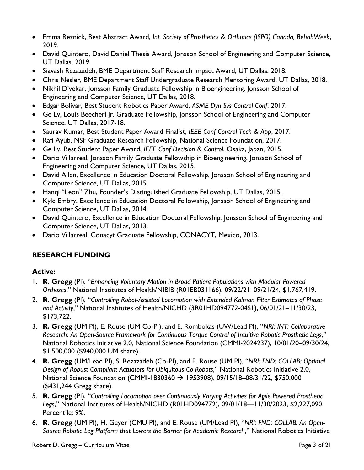- Emma Reznick, Best Abstract Award, *Int. Society of Prosthetics & Orthotics (ISPO) Canada, RehabWeek*, 2019.
- David Quintero, David Daniel Thesis Award, Jonsson School of Engineering and Computer Science, UT Dallas, 2019.
- Siavash Rezazadeh, BME Department Staff Research Impact Award, UT Dallas, 2018.
- Chris Nesler, BME Department Staff Undergraduate Research Mentoring Award, UT Dallas, 2018.
- Nikhil Divekar, Jonsson Family Graduate Fellowship in Bioengineering, Jonsson School of Engineering and Computer Science, UT Dallas, 2018.
- Edgar Bolivar, Best Student Robotics Paper Award, *ASME Dyn Sys Control Conf*, 2017.
- Ge Lv, Louis Beecherl Jr. Graduate Fellowship, Jonsson School of Engineering and Computer Science, UT Dallas, 2017-18.
- Saurav Kumar, Best Student Paper Award Finalist, *IEEE Conf Control Tech & App*, 2017.
- Rafi Ayub, NSF Graduate Research Fellowship, National Science Foundation, 2017.
- Ge Lv, Best Student Paper Award, *IEEE Conf Decision & Control*, Osaka, Japan, 2015.
- Dario Villarreal, Jonsson Family Graduate Fellowship in Bioengineering, Jonsson School of Engineering and Computer Science, UT Dallas, 2015.
- David Allen, Excellence in Education Doctoral Fellowship, Jonsson School of Engineering and Computer Science, UT Dallas, 2015.
- Hanqi "Leon" Zhu, Founder's Distinguished Graduate Fellowship, UT Dallas, 2015.
- Kyle Embry, Excellence in Education Doctoral Fellowship, Jonsson School of Engineering and Computer Science, UT Dallas, 2014.
- David Quintero, Excellence in Education Doctoral Fellowship, Jonsson School of Engineering and Computer Science, UT Dallas, 2013.
- Dario Villarreal, Conacyt Graduate Fellowship, CONACYT, Mexico, 2013.

# **RESEARCH FUNDING**

## **Active:**

- 1. **R. Gregg** (PI), "*Enhancing Voluntary Motion in Broad Patient Populations with Modular Powered Orthoses*," National Institutes of Health/NIBIB (R01EB031166), 09/22/21–09/21/24, \$1,767,419.
- 2. **R. Gregg** (PI), "*Controlling Robot-Assisted Locomotion with Extended Kalman Filter Estimates of Phase and Activity*," National Institutes of Health/NICHD (3R01HD094772-04S1), 06/01/21–11/30/23, \$173,722.
- 3. **R. Gregg** (UM PI), E. Rouse (UM Co-PI), and E. Rombokas (UW/Lead PI), "*NRI: INT: Collaborative Research: An Open-Source Framework for Continuous Torque Control of Intuitive Robotic Prosthetic Legs*," National Robotics Initiative 2.0, National Science Foundation (CMMI-2024237), 10/01/20–09/30/24, \$1,500,000 (\$940,000 UM share).
- 4. **R. Gregg** (UM/Lead PI), S. Rezazadeh (Co-PI), and E. Rouse (UM PI), "*NRI: FND: COLLAB: Optimal Design of Robust Compliant Actuators for Ubiquitous Co-Robots*," National Robotics Initiative 2.0, National Science Foundation (CMMI-1830360 → 1953908), 09/15/18–08/31/22, \$750,000 (\$431,244 Gregg share).
- 5. **R. Gregg** (PI), "*Controlling Locomotion over Continuously Varying Activities for Agile Powered Prosthetic Legs*," National Institutes of Health/NICHD (R01HD094772), 09/01/18—11/30/2023, \$2,227,090. Percentile: 9%.
- 6. **R. Gregg** (UM PI), H. Geyer (CMU PI), and E. Rouse (UM/Lead PI), "*NRI: FND: COLLAB: An Open-Source Robotic Leg Platform that Lowers the Barrier for Academic Research*," National Robotics Initiative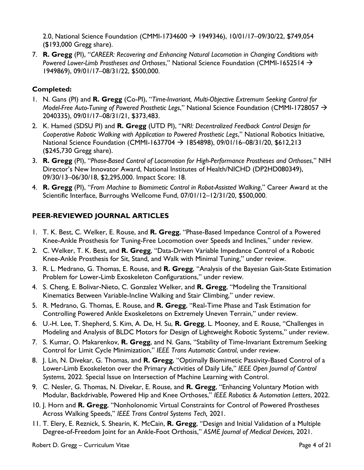2.0, National Science Foundation (CMMI-1734600 → 1949346), 10/01/17–09/30/22, \$749,054 (\$193,000 Gregg share).

7. **R. Gregg** (PI), "*CAREER: Recovering and Enhancing Natural Locomotion in Changing Conditions with Powered Lower-Limb Prostheses and Orthoses*," National Science Foundation (CMMI-1652514 → 1949869), 09/01/17–08/31/22, \$500,000.

## **Completed:**

- 1. N. Gans (PI) and **R. Gregg** (Co-PI), "*Time-Invariant, Multi-Objective Extremum Seeking Control for Model-Free Auto-Tuning of Powered Prosthetic Legs*," National Science Foundation (CMMI-1728057 → 2040335), 09/01/17–08/31/21, \$373,483.
- 2. K. Hamed (SDSU PI) and **R. Gregg** (UTD PI), "*NRI: Decentralized Feedback Control Design for Cooperative Robotic Walking with Application to Powered Prosthetic Legs*," National Robotics Initiative, National Science Foundation (CMMI-1637704 → 1854898), 09/01/16–08/31/20, \$612,213 (\$245,730 Gregg share).
- 3. **R. Gregg** (PI), "*Phase-Based Control of Locomotion for High-Performance Prostheses and Orthoses*," NIH Director's New Innovator Award, National Institutes of Health/NICHD (DP2HD080349), 09/30/13–06/30/18, \$2,295,000. Impact Score: 18.
- 4. **R. Gregg** (PI), "*From Machine to Biomimetic Control in Robot-Assisted Walking*," Career Award at the Scientific Interface, Burroughs Wellcome Fund, 07/01/12–12/31/20, \$500,000.

# **PEER-REVIEWED JOURNAL ARTICLES**

- 1. T. K. Best, C. Welker, E. Rouse, and **R. Gregg**, "Phase-Based Impedance Control of a Powered Knee-Ankle Prosthesis for Tuning-Free Locomotion over Speeds and Inclines," under review.
- 2. C. Welker, T. K. Best, and **R. Gregg**, "Data-Driven Variable Impedance Control of a Robotic Knee-Ankle Prosthesis for Sit, Stand, and Walk with Minimal Tuning," under review.
- 3. R. L. Medrano, G. Thomas, E. Rouse, and **R. Gregg**, "Analysis of the Bayesian Gait-State Estimation Problem for Lower-Limb Exoskeleton Configurations," under review.
- 4. S. Cheng, E. Bolivar-Nieto, C. Gonzalez Welker, and **R. Gregg**, "Modeling the Transitional Kinematics Between Variable-Incline Walking and Stair Climbing," under review.
- 5. R. Medrano, G. Thomas, E. Rouse, and **R. Gregg**, "Real-Time Phase and Task Estimation for Controlling Powered Ankle Exoskeletons on Extremely Uneven Terrain," under review.
- 6. U.-H. Lee, T. Shepherd, S. Kim, A. De, H. Su, **R. Gregg**, L. Mooney, and E. Rouse, "Challenges in Modeling and Analysis of BLDC Motors for Design of Lightweight Robotic Systems," under review.
- 7. S. Kumar, O. Makarenkov, **R. Gregg**, and N. Gans, "Stability of Time-Invariant Extremum Seeking Control for Limit Cycle Minimization," *IEEE Trans Automatic Control*, under review.
- 8. J. Lin, N. Divekar, G. Thomas, and **R. Gregg**, "Optimally Biomimetic Passivity-Based Control of a Lower-Limb Exoskeleton over the Primary Activities of Daily Life," *IEEE Open Journal of Control Systems*, 2022. Special Issue on Intersection of Machine Learning with Control.
- 9. C. Nesler, G. Thomas, N. Divekar, E. Rouse, and **R. Gregg**, "Enhancing Voluntary Motion with Modular, Backdrivable, Powered Hip and Knee Orthoses," *IEEE Robotics & Automation Letters*, 2022.
- 10. J. Horn and **R. Gregg**, "Nonholonomic Virtual Constraints for Control of Powered Prostheses Across Walking Speeds," *IEEE Trans Control Systems Tech,* 2021.
- 11. T. Elery, E. Reznick, S. Shearin, K. McCain, **R. Gregg**, "Design and Initial Validation of a Multiple Degree-of-Freedom Joint for an Ankle-Foot Orthosis," *ASME Journal of Medical Devices*, 2021.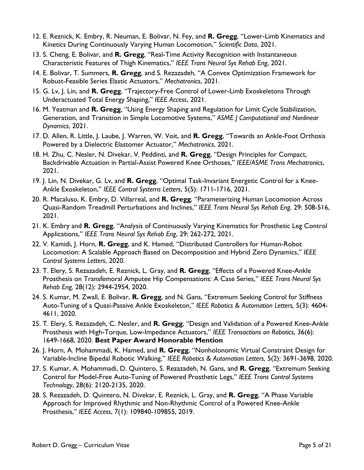- 12. E. Reznick, K. Embry, R. Neuman, E. Bolivar, N. Fey, and **R. Gregg**, "Lower-Limb Kinematics and Kinetics During Continuously Varying Human Locomotion," *Scientific Data*, 2021.
- 13. S. Cheng, E. Bolivar, and **R. Gregg**, "Real-Time Activity Recognition with Instantaneous Characteristic Features of Thigh Kinematics," *IEEE Trans Neural Sys Rehab Eng*, 2021.
- 14. E. Bolivar, T. Summers, **R. Gregg**, and S. Rezazadeh, "A Convex Optimization Framework for Robust-Feasible Series Elastic Actuators," *Mechatronics*, 2021.
- 15. G. Lv, J. Lin, and **R. Gregg**, "Trajectory-Free Control of Lower-Limb Exoskeletons Through Underactuated Total Energy Shaping," *IEEE Access*, 2021.
- 16. M. Yeatman and **R. Gregg**, "Using Energy Shaping and Regulation for Limit Cycle Stabilization, Generation, and Transition in Simple Locomotive Systems," *ASME J Computational and Nonlinear Dynamics*, 2021.
- 17. D. Allen, R. Little, J. Laube, J. Warren, W. Voit, and **R. Gregg**, "Towards an Ankle-Foot Orthosis Powered by a Dielectric Elastomer Actuator," *Mechatronics*, 2021.
- 18. H. Zhu, C. Nesler, N. Divekar, V. Peddinti, and **R. Gregg**, "Design Principles for Compact, Backdrivable Actuation in Partial-Assist Powered Knee Orthoses," *IEEE/ASME Trans Mechatronics*, 2021.
- 19. J. Lin, N. Divekar, G. Lv, and **R. Gregg**, "Optimal Task-Invariant Energetic Control for a Knee-Ankle Exoskeleton," *IEEE Control Systems Letters*, 5(5): 1711-1716, 2021.
- 20. R. Macaluso, K. Embry, D. Villarreal, and **R. Gregg**, "Parameterizing Human Locomotion Across Quasi-Random Treadmill Perturbations and Inclines," *IEEE Trans Neural Sys Rehab Eng*, 29: 508-516, 2021.
- 21. K. Embry and **R. Gregg**, "Analysis of Continuously Varying Kinematics for Prosthetic Leg Control Applications," *IEEE Trans Neural Sys Rehab Eng*, 29: 262-272, 2021.
- 22. V. Kamidi, J. Horn, **R. Gregg**, and K. Hamed, "Distributed Controllers for Human-Robot Locomotion: A Scalable Approach Based on Decomposition and Hybrid Zero Dynamics," *IEEE Control Systems Letters*, 2020.
- 23. T. Elery, S. Rezazadeh, E. Reznick, L. Gray, and **R. Gregg**, "Effects of a Powered Knee-Ankle Prosthesis on Transfemoral Amputee Hip Compensations: A Case Series," *IEEE Trans Neural Sys Rehab Eng,* 28(12): 2944-2954, 2020.
- 24. S. Kumar, M. Zwall, E. Bolivar, **R. Gregg**, and N. Gans, "Extremum Seeking Control for Stiffness Auto-Tuning of a Quasi-Passive Ankle Exoskeleton," *IEEE Robotics & Automation Letters,* 5(3): 4604- 4611, 2020.
- 25. T. Elery, S. Rezazadeh, C. Nesler, and **R. Gregg**, "Design and Validation of a Powered Knee-Ankle Prosthesis with High-Torque, Low-Impedance Actuators," *IEEE Transactions on Robotics*, 36(6): 1649-1668, 2020. **Best Paper Award Honorable Mention**
- 26. J. Horn, A. Mohammadi, K. Hamed, and **R. Gregg**, "Nonholonomic Virtual Constraint Design for Variable-Incline Bipedal Robotic Walking," *IEEE Robotics & Automation Letters,* 5(2): 3691-3698, 2020.
- 27. S. Kumar, A. Mohammadi, D. Quintero, S. Rezazadeh, N. Gans, and **R. Gregg**, "Extremum Seeking Control for Model-Free Auto-Tuning of Powered Prosthetic Legs," *IEEE Trans Control Systems Technology*, 28(6): 2120-2135, 2020.
- 28. S. Rezazadeh, D. Quintero, N. Divekar, E. Reznick, L. Gray, and **R. Gregg**, "A Phase Variable Approach for Improved Rhythmic and Non-Rhythmic Control of a Powered Knee-Ankle Prosthesis," *IEEE Access*, 7(1): 109840-109855, 2019.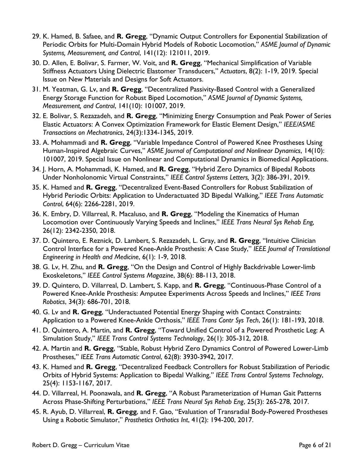- 29. K. Hamed, B. Safaee, and **R. Gregg**, "Dynamic Output Controllers for Exponential Stabilization of Periodic Orbits for Multi-Domain Hybrid Models of Robotic Locomotion," *ASME Journal of Dynamic Systems, Measurement, and Control*, 141(12): 121011, 2019.
- 30. D. Allen, E. Bolivar, S. Farmer, W. Voit, and **R. Gregg**, "Mechanical Simplification of Variable Stiffness Actuators Using Dielectric Elastomer Transducers," *Actuators*, 8(2): 1-19, 2019. Special Issue on New Materials and Designs for Soft Actuators.
- 31. M. Yeatman, G. Lv, and **R. Gregg**, "Decentralized Passivity-Based Control with a Generalized Energy Storage Function for Robust Biped Locomotion," *ASME Journal of Dynamic Systems, Measurement, and Control*, 141(10): 101007, 2019.
- 32. E. Bolivar, S. Rezazadeh, and **R. Gregg**, "Minimizing Energy Consumption and Peak Power of Series Elastic Actuators: A Convex Optimization Framework for Elastic Element Design," *IEEE/ASME Transactions on Mechatronics*, 24(3):1334-1345, 2019.
- 33. A. Mohammadi and **R. Gregg**, "Variable Impedance Control of Powered Knee Prostheses Using Human-Inspired Algebraic Curves," *ASME Journal of Computational and Nonlinear Dynamics*, 14(10): 101007, 2019. Special Issue on Nonlinear and Computational Dynamics in Biomedical Applications.
- 34. J. Horn, A. Mohammadi, K. Hamed, and **R. Gregg**, "Hybrid Zero Dynamics of Bipedal Robots Under Nonholonomic Virtual Constraints," *IEEE Control Systems Letters,* 3(2): 386-391, 2019.
- 35. K. Hamed and **R. Gregg**, "Decentralized Event-Based Controllers for Robust Stabilization of Hybrid Periodic Orbits: Application to Underactuated 3D Bipedal Walking," *IEEE Trans Automatic Control*, 64(6): 2266-2281, 2019.
- 36. K. Embry, D. Villarreal, R. Macaluso, and **R. Gregg**, "Modeling the Kinematics of Human Locomotion over Continuously Varying Speeds and Inclines," *IEEE Trans Neural Sys Rehab Eng,*  26(12): 2342-2350, 2018.
- 37. D. Quintero, E. Reznick, D. Lambert, S. Rezazadeh, L. Gray, and **R. Gregg**, "Intuitive Clinician Control Interface for a Powered Knee-Ankle Prosthesis: A Case Study," *IEEE Journal of Translational Engineering in Health and Medicine*, 6(1): 1-9, 2018.
- 38. G. Lv, H. Zhu, and **R. Gregg**, "On the Design and Control of Highly Backdrivable Lower-limb Exoskeletons," *IEEE Control Systems Magazine*, 38(6): 88-113, 2018.
- 39. D. Quintero, D. Villarreal, D. Lambert, S. Kapp, and **R. Gregg**, "Continuous-Phase Control of a Powered Knee-Ankle Prosthesis: Amputee Experiments Across Speeds and Inclines," *IEEE Trans Robotics*, 34(3): 686-701, 2018.
- 40. G. Lv and **R. Gregg**, "Underactuated Potential Energy Shaping with Contact Constraints: Application to a Powered Knee-Ankle Orthosis," *IEEE Trans Contr Sys Tech*, 26(1): 181-193, 2018.
- 41. D. Quintero, A. Martin, and **R. Gregg**, "Toward Unified Control of a Powered Prosthetic Leg: A Simulation Study," *IEEE Trans Control Systems Technology*, 26(1): 305-312, 2018.
- 42. A. Martin and **R. Gregg**, "Stable, Robust Hybrid Zero Dynamics Control of Powered Lower-Limb Prostheses," *IEEE Trans Automatic Control*, 62(8): 3930-3942, 2017.
- 43. K. Hamed and **R. Gregg**, "Decentralized Feedback Controllers for Robust Stabilization of Periodic Orbits of Hybrid Systems: Application to Bipedal Walking," *IEEE Trans Control Systems Technology*, 25(4): 1153-1167, 2017.
- 44. D. Villarreal, H. Poonawala, and **R. Gregg**, "A Robust Parameterization of Human Gait Patterns Across Phase-Shifting Perturbations," *IEEE Trans Neural Sys Rehab Eng*, 25(3): 265-278, 2017.
- 45. R. Ayub, D. Villarreal, **R. Gregg**, and F. Gao, "Evaluation of Transradial Body-Powered Prostheses Using a Robotic Simulator," *Prosthetics Orthotics Int*, 41(2): 194-200, 2017.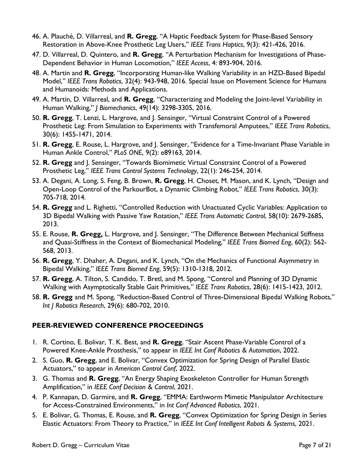- 46. A. Plauché, D. Villarreal, and **R. Gregg**, "A Haptic Feedback System for Phase-Based Sensory Restoration in Above-Knee Prosthetic Leg Users," *IEEE Trans Haptics*, 9(3): 421-426, 2016.
- 47. D. Villarreal, D. Quintero, and **R. Gregg**, "A Perturbation Mechanism for Investigations of Phase-Dependent Behavior in Human Locomotion," *IEEE Access*, 4: 893-904, 2016.
- 48. A. Martin and **R. Gregg**, "Incorporating Human-like Walking Variability in an HZD-Based Bipedal Model," *IEEE Trans Robotics*, 32(4): 943-948, 2016. Special Issue on Movement Science for Humans and Humanoids: Methods and Applications.
- 49. A. Martin, D. Villarreal, and **R. Gregg**, "Characterizing and Modeling the Joint-level Variability in Human Walking," *J Biomechanics*, 49(14): 3298-3305, 2016.
- 50. **R. Gregg**, T. Lenzi, L. Hargrove, and J. Sensinger, "Virtual Constraint Control of a Powered Prosthetic Leg: From Simulation to Experiments with Transfemoral Amputees," *IEEE Trans Robotics*, 30(6): 1455-1471, 2014.
- 51. **R. Gregg**, E. Rouse, L. Hargrove, and J. Sensinger, "Evidence for a Time-Invariant Phase Variable in Human Ankle Control," *PLoS ONE*, 9(2): e89163, 2014.
- 52. **R. Gregg** and J. Sensinger, "Towards Biomimetic Virtual Constraint Control of a Powered Prosthetic Leg," *IEEE Trans Control Systems Technology*, 22(1): 246-254, 2014.
- 53. A. Degani, A. Long, S. Feng, B. Brown, **R. Gregg**, H. Choset, M. Mason, and K. Lynch, "Design and Open-Loop Control of the ParkourBot, a Dynamic Climbing Robot," *IEEE Trans Robotics*, 30(3): 705-718, 2014.
- 54. **R. Gregg** and L. Righetti, "Controlled Reduction with Unactuated Cyclic Variables: Application to 3D Bipedal Walking with Passive Yaw Rotation," *IEEE Trans Automatic Control*, 58(10): 2679-2685, 2013.
- 55. E. Rouse, **R. Gregg,** L. Hargrove, and J. Sensinger, "The Difference Between Mechanical Stiffness and Quasi-Stiffness in the Context of Biomechanical Modeling," *IEEE Trans Biomed Eng*, 60(2): 562- 568, 2013.
- 56. **R. Gregg**, Y. Dhaher, A. Degani, and K. Lynch, "On the Mechanics of Functional Asymmetry in Bipedal Walking," *IEEE Trans Biomed Eng*, 59(5): 1310-1318, 2012.
- 57. **R. Gregg**, A. Tilton, S. Candido, T. Bretl, and M. Spong, "Control and Planning of 3D Dynamic Walking with Asymptotically Stable Gait Primitives," *IEEE Trans Robotics*, 28(6): 1415-1423, 2012.
- 58. **R. Gregg** and M. Spong, "Reduction-Based Control of Three-Dimensional Bipedal Walking Robots," *Int J Robotics Research*, 29(6): 680-702, 2010.

## **PEER-REVIEWED CONFERENCE PROCEEDINGS**

- 1. R. Cortino, E. Bolivar, T. K. Best, and **R. Gregg**, "Stair Ascent Phase-Variable Control of a Powered Knee-Ankle Prosthesis," to appear in *IEEE Int Conf Robotics & Automation*, 2022.
- 2. S. Guo, **R. Gregg**, and E. Bolivar, "Convex Optimization for Spring Design of Parallel Elastic Actuators," to appear in *American Control Conf*, 2022.
- 3. G. Thomas and **R. Gregg**, "An Energy Shaping Exoskeleton Controller for Human Strength Amplification," in *IEEE Conf Decision & Control*, 2021.
- 4. P. Kannapan, D. Garmire, and **R. Gregg**, "EMMA: Earthworm Mimetic Manipulator Architecture for Access-Constrained Environments," in *Int Conf Advanced Robotics*, 2021.
- 5. E. Bolivar, G. Thomas, E. Rouse, and **R. Gregg**, "Convex Optimization for Spring Design in Series Elastic Actuators: From Theory to Practice," in *IEEE Int Conf Intelligent Robots & Systems*, 2021.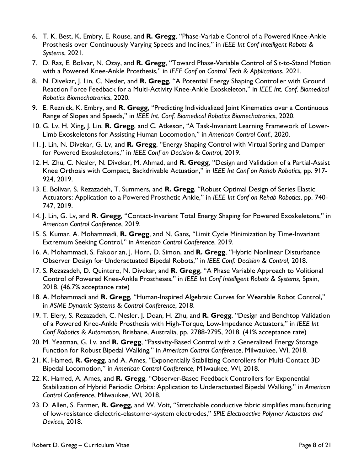- 6. T. K. Best, K. Embry, E. Rouse, and **R. Gregg**, "Phase-Variable Control of a Powered Knee-Ankle Prosthesis over Continuously Varying Speeds and Inclines," in *IEEE Int Conf Intelligent Robots & Systems*, 2021.
- 7. D. Raz, E. Bolivar, N. Ozay, and **R. Gregg**, "Toward Phase-Variable Control of Sit-to-Stand Motion with a Powered Knee-Ankle Prosthesis," in *IEEE Conf on Control Tech & Applications*, 2021.
- 8. N. Divekar, J. Lin, C. Nesler, and **R. Gregg**, "A Potential Energy Shaping Controller with Ground Reaction Force Feedback for a Multi-Activity Knee-Ankle Exoskeleton," in *IEEE Int. Conf. Biomedical Robotics Biomechatronics*, 2020.
- 9. E. Reznick, K. Embry, and **R. Gregg**, "Predicting Individualized Joint Kinematics over a Continuous Range of Slopes and Speeds," in *IEEE Int. Conf. Biomedical Robotics Biomechatronics*, 2020.
- 10. G. Lv, H. Xing, J. Lin, **R. Gregg**, and C. Atkeson, "A Task-Invariant Learning Framework of Lower-Limb Exoskeletons for Assisting Human Locomotion," in *American Control Conf.*, 2020.
- 11. J. Lin, N. Divekar, G. Lv, and **R. Gregg**, "Energy Shaping Control with Virtual Spring and Damper for Powered Exoskeletons," in *IEEE Conf on Decision & Control*, 2019.
- 12. H. Zhu, C. Nesler, N. Divekar, M. Ahmad, and **R. Gregg**, "Design and Validation of a Partial-Assist Knee Orthosis with Compact, Backdrivable Actuation," in *IEEE Int Conf on Rehab Robotics*, pp. 917- 924, 2019.
- 13. E. Bolivar, S. Rezazadeh, T. Summers, and **R. Gregg**, "Robust Optimal Design of Series Elastic Actuators: Application to a Powered Prosthetic Ankle," in *IEEE Int Conf on Rehab Robotics*, pp. 740- 747, 2019.
- 14. J. Lin, G. Lv, and **R. Gregg**, "Contact-Invariant Total Energy Shaping for Powered Exoskeletons," in *American Control Conference*, 2019.
- 15. S. Kumar, A. Mohammadi, **R. Gregg**, and N. Gans, "Limit Cycle Minimization by Time-Invariant Extremum Seeking Control," in *American Control Conference*, 2019.
- 16. A. Mohammadi, S. Fakoorian, J. Horn, D. Simon, and **R. Gregg**, "Hybrid Nonlinear Disturbance Observer Design for Underactuated Bipedal Robots," in *IEEE Conf. Decision & Control*, 2018.
- 17. S. Rezazadeh, D. Quintero, N. Divekar, and **R. Gregg**, "A Phase Variable Approach to Volitional Control of Powered Knee-Ankle Prostheses," in *IEEE Int Conf Intelligent Robots & Systems*, Spain, 2018. (46.7% acceptance rate)
- 18. A. Mohammadi and **R. Gregg**, "Human-Inspired Algebraic Curves for Wearable Robot Control," in *ASME Dynamic Systems & Control Conference*, 2018.
- 19. T. Elery, S. Rezazadeh, C. Nesler, J. Doan, H. Zhu, and **R. Gregg**, "Design and Benchtop Validation of a Powered Knee-Ankle Prosthesis with High-Torque, Low-Impedance Actuators," in *IEEE Int Conf Robotics & Automation*, Brisbane, Australia, pp. 2788-2795, 2018. (41% acceptance rate)
- 20. M. Yeatman, G. Lv, and **R. Gregg**, "Passivity-Based Control with a Generalized Energy Storage Function for Robust Bipedal Walking," in *American Control Conference*, Milwaukee, WI, 2018.
- 21. K. Hamed, **R. Gregg**, and A. Ames, "Exponentially Stabilizing Controllers for Multi-Contact 3D Bipedal Locomotion," in *American Control Conference*, Milwaukee, WI, 2018.
- 22. K. Hamed, A. Ames, and **R. Gregg**, "Observer-Based Feedback Controllers for Exponential Stabilization of Hybrid Periodic Orbits: Application to Underactuated Bipedal Walking," in *American Control Conference*, Milwaukee, WI, 2018.
- 23. D. Allen, S. Farmer, **R. Gregg**, and W. Voit, "Stretchable conductive fabric simplifies manufacturing of low-resistance dielectric-elastomer-system electrodes," *SPIE Electroactive Polymer Actuators and Devices*, 2018.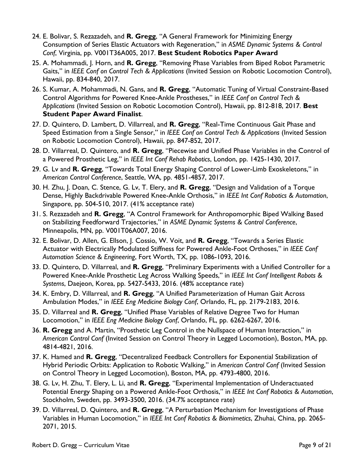- 24. E. Bolivar, S. Rezazadeh, and **R. Gregg**, "A General Framework for Minimizing Energy Consumption of Series Elastic Actuators with Regeneration," in *ASME Dynamic Systems & Control Conf*, Virginia, pp. V001T36A005, 2017. **Best Student Robotics Paper Award**
- 25. A. Mohammadi, J. Horn, and **R. Gregg**, "Removing Phase Variables from Biped Robot Parametric Gaits," in *IEEE Conf on Control Tech & Applications* (Invited Session on Robotic Locomotion Control), Hawaii, pp. 834-840, 2017.
- 26. S. Kumar, A. Mohammadi, N. Gans, and **R. Gregg**, "Automatic Tuning of Virtual Constraint-Based Control Algorithms for Powered Knee-Ankle Prostheses," in *IEEE Conf on Control Tech & Applications* (Invited Session on Robotic Locomotion Control), Hawaii, pp. 812-818, 2017. **Best Student Paper Award Finalist**.
- 27. D. Quintero, D. Lambert, D. Villarreal, and **R. Gregg**, "Real-Time Continuous Gait Phase and Speed Estimation from a Single Sensor," in *IEEE Conf on Control Tech & Applications* (Invited Session on Robotic Locomotion Control), Hawaii, pp. 847-852, 2017.
- 28. D. Villarreal, D. Quintero, and **R. Gregg**, "Piecewise and Unified Phase Variables in the Control of a Powered Prosthetic Leg," in *IEEE Int Conf Rehab Robotics*, London, pp. 1425-1430, 2017.
- 29. G. Lv and **R. Gregg**, "Towards Total Energy Shaping Control of Lower-Limb Exoskeletons," in *American Control Conference*, Seattle, WA, pp. 4851-4857, 2017.
- 30. H. Zhu, J. Doan, C. Stence, G. Lv, T. Elery, and **R. Gregg**, "Design and Validation of a Torque Dense, Highly Backdrivable Powered Knee-Ankle Orthosis," in *IEEE Int Conf Robotics & Automation*, Singapore, pp. 504-510, 2017. (41% acceptance rate)
- 31. S. Rezazadeh and **R. Gregg**, "A Control Framework for Anthropomorphic Biped Walking Based on Stabilizing Feedforward Trajectories," in *ASME Dynamic Systems & Control Conference*, Minneapolis, MN, pp. V001T06A007, 2016.
- 32. E. Bolivar, D. Allen, G. Ellson, J. Cossio, W. Voit, and **R. Gregg**, "Towards a Series Elastic Actuator with Electrically Modulated Stiffness for Powered Ankle-Foot Orthoses," in *IEEE Conf Automation Science & Engineering*, Fort Worth, TX, pp. 1086-1093, 2016.
- 33. D. Quintero, D. Villarreal, and **R. Gregg**, "Preliminary Experiments with a Unified Controller for a Powered Knee-Ankle Prosthetic Leg Across Walking Speeds," in *IEEE Int Conf Intelligent Robots & Systems*, Daejeon, Korea, pp. 5427-5433, 2016. (48% acceptance rate)
- 34. K. Embry, D. Villarreal, and **R. Gregg**, "A Unified Parameterization of Human Gait Across Ambulation Modes," in *IEEE Eng Medicine Biology Conf*, Orlando, FL, pp. 2179-2183, 2016.
- 35. D. Villarreal and **R. Gregg**, "Unified Phase Variables of Relative Degree Two for Human Locomotion," in *IEEE Eng Medicine Biology Conf*, Orlando, FL, pp. 6262-6267, 2016.
- 36. **R. Gregg** and A. Martin, "Prosthetic Leg Control in the Nullspace of Human Interaction," in *American Control Conf* (Invited Session on Control Theory in Legged Locomotion), Boston, MA, pp. 4814-4821, 2016.
- 37. K. Hamed and **R. Gregg**, "Decentralized Feedback Controllers for Exponential Stabilization of Hybrid Periodic Orbits: Application to Robotic Walking," in *American Control Conf* (Invited Session on Control Theory in Legged Locomotion), Boston, MA, pp. 4793-4800, 2016.
- 38. G. Lv, H. Zhu, T. Elery, L. Li, and **R. Gregg**, "Experimental Implementation of Underactuated Potential Energy Shaping on a Powered Ankle-Foot Orthosis," in *IEEE Int Conf Robotics & Automation*, Stockholm, Sweden, pp. 3493-3500, 2016. (34.7% acceptance rate)
- 39. D. Villarreal, D. Quintero, and **R. Gregg**, "A Perturbation Mechanism for Investigations of Phase Variables in Human Locomotion," in *IEEE Int Conf Robotics & Biomimetics*, Zhuhai, China, pp. 2065- 2071, 2015.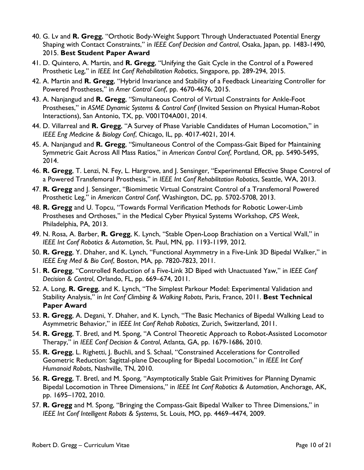- 40. G. Lv and **R. Gregg**, "Orthotic Body-Weight Support Through Underactuated Potential Energy Shaping with Contact Constraints," in *IEEE Conf Decision and Control*, Osaka, Japan, pp. 1483-1490, 2015. **Best Student Paper Award**
- 41. D. Quintero, A. Martin, and **R. Gregg**, "Unifying the Gait Cycle in the Control of a Powered Prosthetic Leg," in *IEEE Int Conf Rehabilitation Robotics*, Singapore, pp. 289-294, 2015.
- 42. A. Martin and **R. Gregg**, "Hybrid Invariance and Stability of a Feedback Linearizing Controller for Powered Prostheses," in *Amer Control Conf*, pp. 4670-4676, 2015.
- 43. A. Nanjangud and **R. Gregg**, "Simultaneous Control of Virtual Constraints for Ankle-Foot Prostheses," in *ASME Dynamic Systems & Control Conf* (Invited Session on Physical Human-Robot Interactions), San Antonio, TX, pp. V001T04A001, 2014.
- 44. D. Villarreal and **R. Gregg**, "A Survey of Phase Variable Candidates of Human Locomotion," in *IEEE Eng Medicine & Biology Conf*, Chicago, IL, pp. 4017-4021, 2014.
- 45. A. Nanjangud and **R. Gregg**, "Simultaneous Control of the Compass-Gait Biped for Maintaining Symmetric Gait Across All Mass Ratios," in *American Control Conf*, Portland, OR, pp. 5490-5495, 2014.
- 46. **R. Gregg**, T. Lenzi, N. Fey, L. Hargrove, and J. Sensinger, "Experimental Effective Shape Control of a Powered Transfemoral Prosthesis," in *IEEE Int Conf Rehabilitation Robotics*, Seattle, WA, 2013.
- 47. **R. Gregg** and J. Sensinger, "Biomimetic Virtual Constraint Control of a Transfemoral Powered Prosthetic Leg," in *American Control Conf*, Washington, DC, pp. 5702-5708, 2013.
- 48. **R. Gregg** and U. Topcu, "Towards Formal Verification Methods for Robotic Lower-Limb Prostheses and Orthoses," in the Medical Cyber Physical Systems Workshop, *CPS Week*, Philadelphia, PA, 2013.
- 49. N. Rosa, A. Barber, **R. Gregg**, K. Lynch, "Stable Open-Loop Brachiation on a Vertical Wall," in *IEEE Int Conf Robotics & Automation*, St. Paul, MN, pp. 1193-1199, 2012.
- 50. **R. Gregg**, Y. Dhaher, and K. Lynch, "Functional Asymmetry in a Five-Link 3D Bipedal Walker," in *IEEE Eng Med & Bio Conf*, Boston, MA, pp. 7820-7823, 2011.
- 51. **R. Gregg**, "Controlled Reduction of a Five-Link 3D Biped with Unactuated Yaw," in *IEEE Conf Decision & Control*, Orlando, FL, pp. 669–674, 2011.
- 52. A. Long, **R. Gregg**, and K. Lynch, "The Simplest Parkour Model: Experimental Validation and Stability Analysis," in *Int Conf Climbing & Walking Robots*, Paris, France, 2011. **Best Technical Paper Award**
- 53. **R. Gregg**, A. Degani, Y. Dhaher, and K. Lynch, "The Basic Mechanics of Bipedal Walking Lead to Asymmetric Behavior," in *IEEE Int Conf Rehab Robotics*, Zurich, Switzerland, 2011.
- 54. **R. Gregg**, T. Bretl, and M. Spong, "A Control Theoretic Approach to Robot-Assisted Locomotor Therapy," in *IEEE Conf Decision & Control*, Atlanta, GA, pp. 1679-1686, 2010.
- 55. **R. Gregg**, L. Righetti, J. Buchli, and S. Schaal, "Constrained Accelerations for Controlled Geometric Reduction: Sagittal-plane Decoupling for Bipedal Locomotion," in *IEEE Int Conf Humanoid Robots*, Nashville, TN, 2010.
- 56. **R. Gregg**, T. Bretl, and M. Spong, "Asymptotically Stable Gait Primitives for Planning Dynamic Bipedal Locomotion in Three Dimensions," in *IEEE Int Conf Robotics & Automation*, Anchorage, AK, pp. 1695–1702, 2010.
- 57. **R. Gregg** and M. Spong, "Bringing the Compass-Gait Bipedal Walker to Three Dimensions," in *IEEE Int Conf Intelligent Robots & Systems*, St. Louis, MO, pp. 4469–4474, 2009.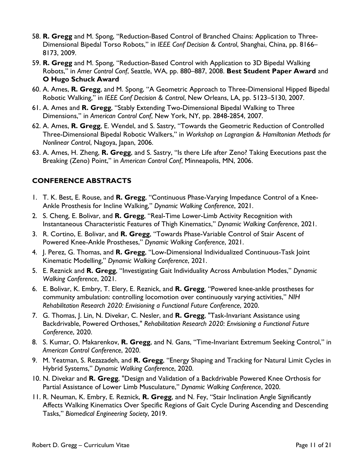- 58. **R. Gregg** and M. Spong, "Reduction-Based Control of Branched Chains: Application to Three-Dimensional Bipedal Torso Robots," in *IEEE Conf Decision & Control*, Shanghai, China, pp. 8166– 8173, 2009.
- 59. **R. Gregg** and M. Spong, "Reduction-Based Control with Application to 3D Bipedal Walking Robots," in *Amer Control Conf*, Seattle, WA, pp. 880–887, 2008. **Best Student Paper Award** and **O Hugo Schuck Award**
- 60. A. Ames, **R. Gregg**, and M. Spong, "A Geometric Approach to Three-Dimensional Hipped Bipedal Robotic Walking," in *IEEE Conf Decision & Control*, New Orleans, LA, pp. 5123–5130, 2007.
- 61. A. Ames and **R. Gregg**, "Stably Extending Two-Dimensional Bipedal Walking to Three Dimensions," in *American Control Conf*, New York, NY, pp. 2848-2854, 2007.
- 62. A. Ames, **R. Gregg**, E. Wendel, and S. Sastry, "Towards the Geometric Reduction of Controlled Three-Dimensional Bipedal Robotic Walkers," in *Workshop on Lagrangian & Hamiltonian Methods for Nonlinear Control*, Nagoya, Japan, 2006.
- 63. A. Ames, H. Zheng, **R. Gregg**, and S. Sastry, "Is there Life after Zeno? Taking Executions past the Breaking (Zeno) Point," in *American Control Conf*, Minneapolis, MN, 2006.

## **CONFERENCE ABSTRACTS**

- 1. T. K. Best, E. Rouse, and **R. Gregg**, "Continuous Phase-Varying Impedance Control of a Knee-Ankle Prosthesis for Incline Walking," *Dynamic Walking Conference*, 2021.
- 2. S. Cheng, E. Bolivar, and **R. Gregg**, "Real-Time Lower-Limb Activity Recognition with Instantaneous Characteristic Features of Thigh Kinematics," *Dynamic Walking Conference*, 2021.
- 3. R. Cortino, E. Bolivar, and **R. Gregg**, "Towards Phase-Variable Control of Stair Ascent of Powered Knee-Ankle Prostheses," *Dynamic Walking Conference*, 2021.
- 4. J. Perez, G. Thomas, and **R. Gregg**, "Low-Dimensional Individualized Continuous-Task Joint Kinematic Modelling," *Dynamic Walking Conference*, 2021.
- 5. E. Reznick and **R. Gregg**, "Investigating Gait Individuality Across Ambulation Modes," *Dynamic Walking Conference*, 2021.
- 6. E. Bolivar, K. Embry, T. Elery, E. Reznick, and **R. Gregg**, "Powered knee-ankle prostheses for community ambulation: controlling locomotion over continuously varying activities," *NIH Rehabilitation Research 2020: Envisioning a Functional Future Conference*, 2020.
- 7. G. Thomas, J. Lin, N. Divekar, C. Nesler, and **R. Gregg**, "Task-Invariant Assistance using Backdrivable, Powered Orthoses," *Rehabilitation Research 2020: Envisioning a Functional Future Conference*, 2020.
- 8. S. Kumar, O. Makarenkov, **R. Gregg**, and N. Gans, "Time-Invariant Extremum Seeking Control," in *American Control Conference*, 2020.
- 9. M. Yeatman, S. Rezazadeh, and **R. Gregg**, "Energy Shaping and Tracking for Natural Limit Cycles in Hybrid Systems," *Dynamic Walking Conference*, 2020.
- 10. N. Divekar and **R. Gregg**, "Design and Validation of a Backdrivable Powered Knee Orthosis for Partial Assistance of Lower Limb Musculature," *Dynamic Walking Conference*, 2020.
- 11. R. Neuman, K. Embry, E. Reznick, **R. Gregg**, and N. Fey, "Stair Inclination Angle Significantly Affects Walking Kinematics Over Specific Regions of Gait Cycle During Ascending and Descending Tasks," *Biomedical Engineering Society*, 2019.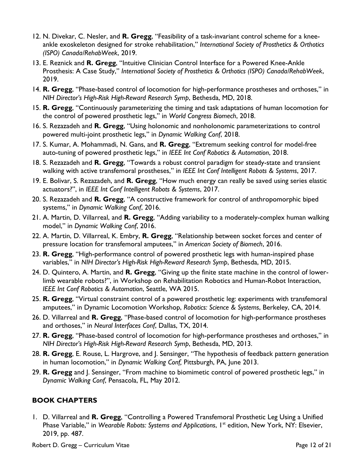- 12. N. Divekar, C. Nesler, and **R. Gregg**, "Feasibility of a task-invariant control scheme for a kneeankle exoskeleton designed for stroke rehabilitation," *International Society of Prosthetics & Orthotics (ISPO) Canada/RehabWeek*, 2019.
- 13. E. Reznick and **R. Gregg**, "Intuitive Clinician Control Interface for a Powered Knee-Ankle Prosthesis: A Case Study," *International Society of Prosthetics & Orthotics (ISPO) Canada/RehabWeek*, 2019.
- 14. **R. Gregg**, "Phase-based control of locomotion for high-performance prostheses and orthoses," in *NIH Director's High-Risk High-Reward Research Symp*, Bethesda, MD, 2018.
- 15. **R. Gregg**, "Continuously parameterizing the timing and task adaptations of human locomotion for the control of powered prosthetic legs," in *World Congress Biomech*, 2018.
- 16. S. Rezazadeh and **R. Gregg**, "Using holonomic and nonholonomic parameterizations to control powered multi-joint prosthetic legs," in *Dynamic Walking Conf*, 2018.
- 17. S. Kumar, A. Mohammadi, N. Gans, and **R. Gregg**, "Extremum seeking control for model-free auto-tuning of powered prosthetic legs," in *IEEE Int Conf Robotics & Automation*, 2018.
- 18. S. Rezazadeh and **R. Gregg**, "Towards a robust control paradigm for steady-state and transient walking with active transfemoral prostheses," in *IEEE Int Conf Intelligent Robots & Systems*, 2017.
- 19. E. Bolivar, S. Rezazadeh, and **R. Gregg**, "How much energy can really be saved using series elastic actuators?", in *IEEE Int Conf Intelligent Robots & Systems*, 2017.
- 20. S. Rezazadeh and **R. Gregg**, "A constructive framework for control of anthropomorphic biped systems," in *Dynamic Walking Conf*, 2016.
- 21. A. Martin, D. Villarreal, and **R. Gregg**, "Adding variability to a moderately-complex human walking model," in *Dynamic Walking Conf*, 2016.
- 22. A. Martin, D. Villarreal, K. Embry, **R. Gregg**, "Relationship between socket forces and center of pressure location for transfemoral amputees," in *American Society of Biomech*, 2016.
- 23. **R. Gregg**, "High-performance control of powered prosthetic legs with human-inspired phase variables," in *NIH Director's High-Risk High-Reward Research Symp*, Bethesda, MD, 2015.
- 24. D. Quintero, A. Martin, and **R. Gregg**, "Giving up the finite state machine in the control of lowerlimb wearable robots?", in Workshop on Rehabilitation Robotics and Human-Robot Interaction, *IEEE Int Conf Robotics & Automation*, Seattle, WA 2015.
- 25. **R. Gregg**, "Virtual constraint control of a powered prosthetic leg: experiments with transfemoral amputees," in Dynamic Locomotion Workshop, *Robotics: Science & Systems*, Berkeley, CA, 2014.
- 26. D. Villarreal and **R. Gregg**, "Phase-based control of locomotion for high-performance prostheses and orthoses," in *Neural Interfaces Conf*, Dallas, TX, 2014.
- 27. **R. Gregg**, "Phase-based control of locomotion for high-performance prostheses and orthoses," in *NIH Director's High-Risk High-Reward Research Symp*, Bethesda, MD, 2013.
- 28. **R. Gregg**, E. Rouse, L. Hargrove, and J. Sensinger, "The hypothesis of feedback pattern generation in human locomotion," in *Dynamic Walking Conf,* Pittsburgh, PA, June 2013.
- 29. **R. Gregg** and J. Sensinger, "From machine to biomimetic control of powered prosthetic legs," in *Dynamic Walking Conf*, Pensacola, FL, May 2012.

## **BOOK CHAPTERS**

1. D. Villarreal and **R. Gregg**, "Controlling a Powered Transfemoral Prosthetic Leg Using a Unified Phase Variable," in Wearable Robots: Systems and Applications, I<sup>st</sup> edition, New York, NY: Elsevier, 2019, pp. 487.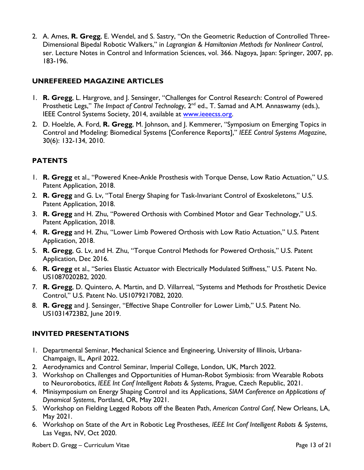2. A. Ames, **R. Gregg**, E. Wendel, and S. Sastry, "On the Geometric Reduction of Controlled Three-Dimensional Bipedal Robotic Walkers," in *Lagrangian & Hamiltonian Methods for Nonlinear Control*, ser. Lecture Notes in Control and Information Sciences, vol. 366. Nagoya, Japan: Springer, 2007, pp. 183-196.

### **UNREFEREED MAGAZINE ARTICLES**

- 1. **R. Gregg**, L. Hargrove, and J. Sensinger, "Challenges for Control Research: Control of Powered Prosthetic Legs," The Impact of Control Technology, 2<sup>nd</sup> ed., T. Samad and A.M. Annaswamy (eds.), IEEE Control Systems Society, 2014, available at [www.ieeecss.org.](http://www.ieeecss.org/)
- 2. D. Hoelzle, A. Ford, **R. Gregg**, M. Johnson, and J. Kemmerer, "Symposium on Emerging Topics in Control and Modeling: Biomedical Systems [Conference Reports]," *IEEE Control Systems Magazine*, 30(6): 132-134, 2010.

## **PATENTS**

- 1. **R. Gregg** et al., "Powered Knee-Ankle Prosthesis with Torque Dense, Low Ratio Actuation," U.S. Patent Application, 2018.
- 2. **R. Gregg** and G. Lv, "Total Energy Shaping for Task-Invariant Control of Exoskeletons," U.S. Patent Application, 2018.
- 3. **R. Gregg** and H. Zhu, "Powered Orthosis with Combined Motor and Gear Technology," U.S. Patent Application, 2018.
- 4. **R. Gregg** and H. Zhu, "Lower Limb Powered Orthosis with Low Ratio Actuation," U.S. Patent Application, 2018.
- 5. **R. Gregg**, G. Lv, and H. Zhu, "Torque Control Methods for Powered Orthosis," U.S. Patent Application, Dec 2016.
- 6. **R. Gregg** et al., "Series Elastic Actuator with Electrically Modulated Stiffness," U.S. Patent No. US10870202B2, 2020.
- 7. **R. Gregg**, D. Quintero, A. Martin, and D. Villarreal, "Systems and Methods for Prosthetic Device Control," U.S. Patent No. US10792170B2, 2020.
- 8. **R. Gregg** and J. Sensinger, "Effective Shape Controller for Lower Limb," U.S. Patent No. US10314723B2, June 2019.

### **INVITED PRESENTATIONS**

- 1. Departmental Seminar, Mechanical Science and Engineering, University of Illinois, Urbana-Champaign, IL, April 2022.
- 2. Aerodynamics and Control Seminar, Imperial College, London, UK, March 2022.
- 3. Workshop on Challenges and Opportunities of Human-Robot Symbiosis: from Wearable Robots to Neurorobotics, *IEEE Int Conf Intelligent Robots & Systems*, Prague, Czech Republic, 2021.
- 4. Minisymposium on Energy Shaping Control and its Applications, *SIAM Conference on Applications of Dynamical Systems*, Portland, OR, May 2021.
- 5. Workshop on Fielding Legged Robots off the Beaten Path, *American Control Conf*, New Orleans, LA, May 2021.
- 6. Workshop on State of the Art in Robotic Leg Prostheses, *IEEE Int Conf Intelligent Robots & Systems*, Las Vegas, NV, Oct 2020.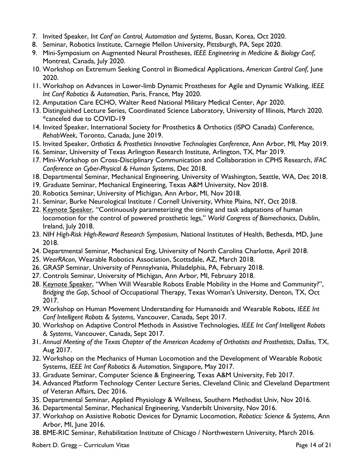- 7. Invited Speaker, *Int Conf on Control, Automation and Systems*, Busan, Korea, Oct 2020.
- 8. Seminar, Robotics Institute, Carnegie Mellon University, Pittsburgh, PA, Sept 2020.
- 9. Mini-Symposium on Augmented Neural Prostheses, *IEEE Engineering in Medicine & Biology Conf*, Montreal, Canada, July 2020.
- 10. Workshop on Extremum Seeking Control in Biomedical Applications, *American Control Conf*, June 2020.
- 11. Workshop on Advances in Lower-limb Dynamic Prostheses for Agile and Dynamic Walking, *IEEE Int Conf Robotics & Automation*, Paris, France, May 2020.
- 12. Amputation Care ECHO, Walter Reed National Military Medical Center, Apr 2020.
- 13. Distinguished Lecture Series, Coordinated Science Laboratory, University of Illinois, March 2020. \*canceled due to COVID-19
- 14. Invited Speaker, International Society for Prosthetics & Orthotics (ISPO Canada) Conference, *RehabWeek*, Toronto, Canada, June 2019.
- 15. Invited Speaker, *Orthotics & Prosthetics Innovative Technologies Conference*, Ann Arbor, MI, May 2019.
- 16. Seminar, University of Texas Arlington Research Institute, Arlington, TX, Mar 2019.
- 17. Mini-Workshop on Cross-Disciplinary Communication and Collaboration in CPHS Research, *IFAC Conference on Cyber-Physical & Human Systems*, Dec 2018.
- 18. Departmental Seminar, Mechanical Engineering, University of Washington, Seattle, WA, Dec 2018.
- 19. Graduate Seminar, Mechanical Engineering, Texas A&M University, Nov 2018.
- 20. Robotics Seminar, University of Michigan, Ann Arbor, MI, Nov 2018.
- 21. Seminar, Burke Neurological Institute / Cornell University, White Plains, NY, Oct 2018.
- 22. Keynote Speaker, "Continuously parameterizing the timing and task adaptations of human locomotion for the control of powered prosthetic legs," *World Congress of Biomechanics*, Dublin, Ireland, July 2018.
- 23. *NIH High-Risk High-Reward Research Symposium*, National Institutes of Health, Bethesda, MD, June 2018.
- 24. Departmental Seminar, Mechanical Eng, University of North Carolina Charlotte, April 2018.
- 25. *WearRAcon*, Wearable Robotics Association, Scottsdale, AZ, March 2018.
- 26. GRASP Seminar, University of Pennsylvania, Philadelphia, PA, February 2018.
- 27. Controls Seminar, University of Michigan, Ann Arbor, MI, February 2018.
- 28. Keynote Speaker, "When Will Wearable Robots Enable Mobility in the Home and Community?", *Bridging the Gap*, School of Occupational Therapy, Texas Woman's University, Denton, TX, Oct 2017.
- 29. Workshop on Human Movement Understanding for Humanoids and Wearable Robots, *IEEE Int Conf Intelligent Robots & Systems*, Vancouver, Canada, Sept 2017.
- 30. Workshop on Adaptive Control Methods in Assistive Technologies, *IEEE Int Conf Intelligent Robots & Systems*, Vancouver, Canada, Sept 2017.
- 31. *Annual Meeting of the Texas Chapter of the American Academy of Orthotists and Prosthetists*, Dallas, TX, Aug 2017.
- 32. Workshop on the Mechanics of Human Locomotion and the Development of Wearable Robotic Systems, *IEEE Int Conf Robotics & Automation*, Singapore, May 2017.
- 33. Graduate Seminar, Computer Science & Engineering, Texas A&M University, Feb 2017.
- 34. Advanced Platform Technology Center Lecture Series, Cleveland Clinic and Cleveland Department of Veteran Affairs, Dec 2016.
- 35. Departmental Seminar, Applied Physiology & Wellness, Southern Methodist Univ, Nov 2016.
- 36. Departmental Seminar, Mechanical Engineering, Vanderbilt University, Nov 2016.
- 37. Workshop on Assistive Robotic Devices for Dynamic Locomotion, *Robotics: Science & Systems*, Ann Arbor, MI, June 2016.
- 38. BME-RIC Seminar, Rehabilitation Institute of Chicago / Northwestern University, March 2016.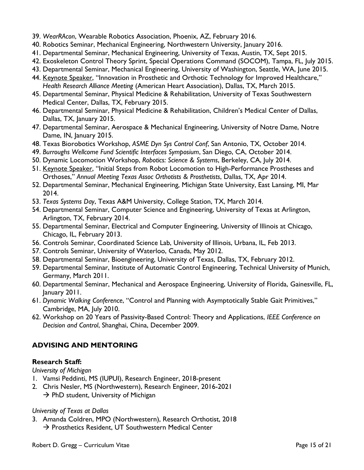- 39. *WearRAcon*, Wearable Robotics Association, Phoenix, AZ, February 2016.
- 40. Robotics Seminar, Mechanical Engineering, Northwestern University, January 2016.
- 41. Departmental Seminar, Mechanical Engineering, University of Texas, Austin, TX, Sept 2015.
- 42. Exoskeleton Control Theory Sprint, Special Operations Command (SOCOM), Tampa, FL, July 2015.
- 43. Departmental Seminar, Mechanical Engineering, University of Washington, Seattle, WA, June 2015.
- 44. Keynote Speaker, "Innovation in Prosthetic and Orthotic Technology for Improved Healthcare," *Health Research Alliance Meeting* (American Heart Association), Dallas, TX, March 2015.
- 45. Departmental Seminar, Physical Medicine & Rehabilitation, University of Texas Southwestern Medical Center, Dallas, TX, February 2015.
- 46. Departmental Seminar, Physical Medicine & Rehabilitation, Children's Medical Center of Dallas, Dallas, TX, January 2015.
- 47. Departmental Seminar, Aerospace & Mechanical Engineering, University of Notre Dame, Notre Dame, IN, January 2015.
- 48. Texas Biorobotics Workshop, *ASME Dyn Sys Control Conf*, San Antonio, TX, October 2014.
- 49. *Burroughs Wellcome Fund Scientific Interfaces Symposium*, San Diego, CA, October 2014.
- 50. Dynamic Locomotion Workshop, *Robotics: Science & Systems*, Berkeley, CA, July 2014.
- 51. Keynote Speaker, "Initial Steps from Robot Locomotion to High-Performance Prostheses and Orthoses," *Annual Meeting Texas Assoc Orthotists & Prosthetists*, Dallas, TX, Apr 2014.
- 52. Departmental Seminar, Mechanical Engineering, Michigan State University, East Lansing, MI, Mar 2014.
- 53. *Texas Systems Day*, Texas A&M University, College Station, TX, March 2014.
- 54. Departmental Seminar, Computer Science and Engineering, University of Texas at Arlington, Arlington, TX, February 2014.
- 55. Departmental Seminar, Electrical and Computer Engineering, University of Illinois at Chicago, Chicago, IL, February 2013.
- 56. Controls Seminar, Coordinated Science Lab, University of Illinois, Urbana, IL, Feb 2013.
- 57. Controls Seminar, University of Waterloo, Canada, May 2012.
- 58. Departmental Seminar, Bioengineering, University of Texas, Dallas, TX, February 2012.
- 59. Departmental Seminar, Institute of Automatic Control Engineering, Technical University of Munich, Germany, March 2011.
- 60. Departmental Seminar, Mechanical and Aerospace Engineering, University of Florida, Gainesville, FL, January 2011.
- 61. *Dynamic Walking Conference*, "Control and Planning with Asymptotically Stable Gait Primitives," Cambridge, MA, July 2010.
- 62. Workshop on 20 Years of Passivity-Based Control: Theory and Applications, *IEEE Conference on Decision and Control*, Shanghai, China, December 2009.

# **ADVISING AND MENTORING**

## **Research Staff:**

*University of Michigan*

- 1. Vamsi Peddinti, MS (IUPUI), Research Engineer, 2018-present
- 2. Chris Nesler, MS (Northwestern), Research Engineer, 2016-2021
	- $\rightarrow$  PhD student, University of Michigan

### *University of Texas at Dallas*

3. Amanda Coldren, MPO (Northwestern), Research Orthotist, 2018  $\rightarrow$  Prosthetics Resident, UT Southwestern Medical Center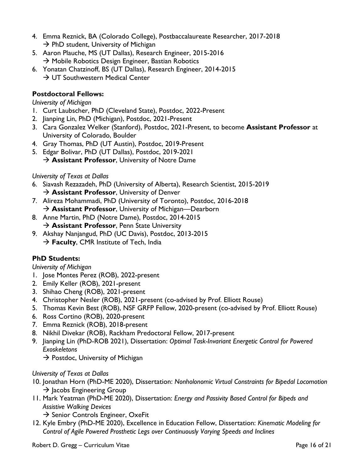- 4. Emma Reznick, BA (Colorado College), Postbaccalaureate Researcher, 2017-2018  $\rightarrow$  PhD student, University of Michigan
- 5. Aaron Plauche, MS (UT Dallas), Research Engineer, 2015-2016  $\rightarrow$  Mobile Robotics Design Engineer, Bastian Robotics
- 6. Yonatan Chatzinoff, BS (UT Dallas), Research Engineer, 2014-2015  $\rightarrow$  UT Southwestern Medical Center

## **Postdoctoral Fellows:**

*University of Michigan*

- 1. Curt Laubscher, PhD (Cleveland State), Postdoc, 2022-Present
- 2. Jianping Lin, PhD (Michigan), Postdoc, 2021-Present
- 3. Cara Gonzalez Welker (Stanford), Postdoc, 2021-Present, to become **Assistant Professor** at University of Colorado, Boulder
- 4. Gray Thomas, PhD (UT Austin), Postdoc, 2019-Present
- 5. Edgar Bolivar, PhD (UT Dallas), Postdoc, 2019-2021
	- → **Assistant Professor**, University of Notre Dame

### *University of Texas at Dallas*

- 6. Siavash Rezazadeh, PhD (University of Alberta), Research Scientist, 2015-2019 → **Assistant Professor**, University of Denver
- 7. Alireza Mohammadi, PhD (University of Toronto), Postdoc, 2016-2018 → **Assistant Professor**, University of Michigan—Dearborn
- 8. Anne Martin, PhD (Notre Dame), Postdoc, 2014-2015 → **Assistant Professor**, Penn State University
- 9. Akshay Nanjangud, PhD (UC Davis), Postdoc, 2013-2015  $\rightarrow$  **Faculty**, CMR Institute of Tech, India

# **PhD Students:**

### *University of Michigan*

- 1. Jose Montes Perez (ROB), 2022-present
- 2. Emily Keller (ROB), 2021-present
- 3. Shihao Cheng (ROB), 2021-present
- 4. Christopher Nesler (ROB), 2021-present (co-advised by Prof. Elliott Rouse)
- 5. Thomas Kevin Best (ROB), NSF GRFP Fellow, 2020-present (co-advised by Prof. Elliott Rouse)
- 6. Ross Cortino (ROB), 2020-present
- 7. Emma Reznick (ROB), 2018-present
- 8. Nikhil Divekar (ROB), Rackham Predoctoral Fellow, 2017-present
- 9. Jianping Lin (PhD-ROB 2021), Dissertation: *Optimal Task-Invariant Energetic Control for Powered Exoskeletons*
	- $\rightarrow$  Postdoc, University of Michigan

### *University of Texas at Dallas*

- 10. Jonathan Horn (PhD-ME 2020), Dissertation: *Nonholonomic Virtual Constraints for Bipedal Locomotion*  $\rightarrow$  Jacobs Engineering Group
- 11. Mark Yeatman (PhD-ME 2020), Dissertation: *Energy and Passivity Based Control for Bipeds and Assistive Walking Devices*

 $\rightarrow$  Senior Controls Engineer, OxeFit

12. Kyle Embry (PhD-ME 2020), Excellence in Education Fellow, Dissertation: *Kinematic Modeling for Control of Agile Powered Prosthetic Legs over Continuously Varying Speeds and Inclines*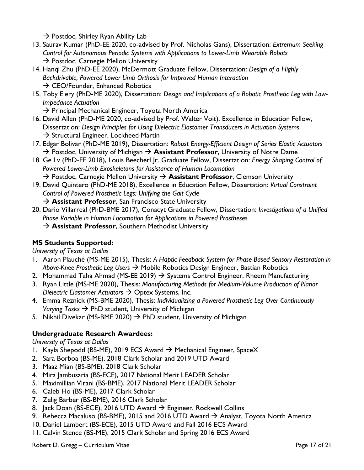$\rightarrow$  Postdoc, Shirley Ryan Ability Lab

- 13. Saurav Kumar (PhD-EE 2020, co-advised by Prof. Nicholas Gans), Dissertation: *Extremum Seeking Control for Autonomous Periodic Systems with Applications to Lower-Limb Wearable Robots*  $\rightarrow$  Postdoc, Carnegie Mellon University
- 14. Hanqi Zhu (PhD-EE 2020), McDermott Graduate Fellow, Dissertation: *Design of a Highly Backdrivable, Powered Lower Limb Orthosis for Improved Human Interaction*  $\rightarrow$  CEO/Founder, Enhanced Robotics
- 15. Toby Elery (PhD-ME 2020), Dissertation: *Design and Implications of a Robotic Prosthetic Leg with Low-Impedance Actuation*

 $\rightarrow$  Principal Mechanical Engineer, Toyota North America

- 16. David Allen (PhD-ME 2020, co-advised by Prof. Walter Voit), Excellence in Education Fellow, Dissertation: *Design Principles for Using Dielectric Elastomer Transducers in Actuation Systems*  $\rightarrow$  Structural Engineer, Lockheed Martin
- 17. Edgar Bolivar (PhD-ME 2019), Dissertation: *Robust Energy-Efficient Design of Series Elastic Actuators* → Postdoc, University of Michigan → **Assistant Professor**, University of Notre Dame
- 18. Ge Lv (PhD-EE 2018), Louis Beecherl Jr. Graduate Fellow, Dissertation: *Energy Shaping Control of Powered Lower-Limb Exoskeletons for Assistance of Human Locomotion* → Postdoc, Carnegie Mellon University → **Assistant Professor**, Clemson University
- 19. David Quintero (PhD-ME 2018), Excellence in Education Fellow, Dissertation: *Virtual Constraint Control of Powered Prosthetic Legs: Unifying the Gait Cycle*

→ **Assistant Professor**, San Francisco State University

- 20. Dario Villarreal (PhD-BME 2017), Conacyt Graduate Fellow, Dissertation: *Investigations of a Unified Phase Variable in Human Locomotion for Applications in Powered Prostheses*
	- → **Assistant Professor**, Southern Methodist University

## **MS Students Supported:**

*University of Texas at Dallas*

- 1. Aaron Plauché (MS-ME 2015), Thesis: *A Haptic Feedback System for Phase-Based Sensory Restoration in Above-Knee Prosthetic Leg Users* → Mobile Robotics Design Engineer, Bastian Robotics
- 2. Mohammad Taha Ahmad (MS-EE 2019)  $\rightarrow$  Systems Control Engineer, Rheem Manufacturing
- 3. Ryan Little (MS-ME 2020), Thesis: *Manufacturing Methods for Medium-Volume Production of Planar Dielectric Elastomer Actuators* → Optex Systems, Inc.
- 4. Emma Reznick (MS-BME 2020), Thesis: *Individualizing a Powered Prosthetic Leg Over Continuously Varying Tasks* → PhD student, University of Michigan
- 5. Nikhil Divekar (MS-BME 2020)  $\rightarrow$  PhD student, University of Michigan

## **Undergraduate Research Awardees:**

*University of Texas at Dallas*

- 1. Kayla Shepodd (BS-ME), 2019 ECS Award  $\rightarrow$  Mechanical Engineer, SpaceX
- 2. Sara Borboa (BS-ME), 2018 Clark Scholar and 2019 UTD Award
- 3. Maaz Mian (BS-BME), 2018 Clark Scholar
- 4. Mira Jambusaria (BS-ECE), 2017 National Merit LEADER Scholar
- 5. Maximillian Virani (BS-BME), 2017 National Merit LEADER Scholar
- 6. Caleb Ho (BS-ME), 2017 Clark Scholar
- 7. Zelig Barber (BS-BME), 2016 Clark Scholar
- 8. Jack Doan (BS-ECE), 2016 UTD Award  $\rightarrow$  Engineer, Rockwell Collins
- 9. Rebecca Macaluso (BS-BME), 2015 and 2016 UTD Award  $\rightarrow$  Analyst, Toyota North America
- 10. Daniel Lambert (BS-ECE), 2015 UTD Award and Fall 2016 ECS Award
- 11. Calvin Stence (BS-ME), 2015 Clark Scholar and Spring 2016 ECS Award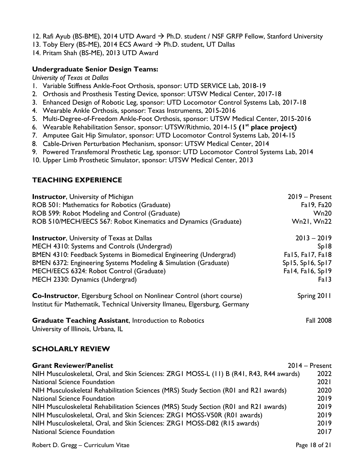- 12. Rafi Ayub (BS-BME), 2014 UTD Award  $\rightarrow$  Ph.D. student / NSF GRFP Fellow, Stanford University
- 13. Toby Elery (BS-ME), 2014 ECS Award  $\rightarrow$  Ph.D. student, UT Dallas
- 14. Pritam Shah (BS-ME), 2013 UTD Award

#### **Undergraduate Senior Design Teams:**

*University of Texas at Dallas*

- 1. Variable Stiffness Ankle-Foot Orthosis, sponsor: UTD SERVICE Lab, 2018-19
- 2. Orthosis and Prosthesis Testing Device, sponsor: UTSW Medical Center, 2017-18
- 3. Enhanced Design of Robotic Leg, sponsor: UTD Locomotor Control Systems Lab, 2017-18
- 4. Wearable Ankle Orthosis, sponsor: Texas Instruments, 2015-2016
- 5. Multi-Degree-of-Freedom Ankle-Foot Orthosis, sponsor: UTSW Medical Center, 2015-2016
- 6. Wearable Rehabilitation Sensor, sponsor: UTSW/Rithmio, 2014-15 **(1 st place project)**
- 7. Amputee Gait Hip Simulator, sponsor: UTD Locomotor Control Systems Lab, 2014-15
- 8. Cable-Driven Perturbation Mechanism, sponsor: UTSW Medical Center, 2014
- 9. Powered Transfemoral Prosthetic Leg, sponsor: UTD Locomotor Control Systems Lab, 2014
- 10. Upper Limb Prosthetic Simulator, sponsor: UTSW Medical Center, 2013

### **TEACHING EXPERIENCE**

| <b>Instructor, University of Michigan</b>                                                                                                                 | $2019 -$ Present    |
|-----------------------------------------------------------------------------------------------------------------------------------------------------------|---------------------|
| ROB 501: Mathematics for Robotics (Graduate)                                                                                                              | Fa19, Fa20          |
| ROB 599: Robot Modeling and Control (Graduate)                                                                                                            | Wn20                |
| ROB 510/MECH/EECS 567: Robot Kinematics and Dynamics (Graduate)                                                                                           | <b>Wn21, Wn22</b>   |
| <b>Instructor, University of Texas at Dallas</b>                                                                                                          | $2013 - 2019$       |
| MECH 4310: Systems and Controls (Undergrad)                                                                                                               | Sp18                |
| BMEN 4310: Feedback Systems in Biomedical Engineering (Undergrad)                                                                                         | Fal 5, Fal 7, Fal 8 |
| BMEN 6372: Engineering Systems Modeling & Simulation (Graduate)                                                                                           | Sp15, Sp16, Sp17    |
| MECH/EECS 6324: Robot Control (Graduate)                                                                                                                  | Fa14, Fa16, Sp19    |
| MECH 2330: Dynamics (Undergrad)                                                                                                                           | Fal3                |
| <b>Co-Instructor, Elgersburg School on Nonlinear Control (short course)</b><br>Institut für Mathematik, Technical University Ilmaneu, Elgersburg, Germany | Spring 2011         |
| <b>Graduate Teaching Assistant, Introduction to Robotics</b><br>University of Illinois, Urbana, IL                                                        | <b>Fall 2008</b>    |

### **SCHOLARLY REVIEW**

| <b>Grant Reviewer/Panelist</b>                                                          | $2014 -$ Present |
|-----------------------------------------------------------------------------------------|------------------|
| NIH Musculoskeletal, Oral, and Skin Sciences: ZRG1 MOSS-L (11) B (R41, R43, R44 awards) | 2022             |
| National Science Foundation                                                             | 2021             |
| NIH Musculoskeletal Rehabilitation Sciences (MRS) Study Section (R01 and R21 awards)    | 2020             |
| <b>National Science Foundation</b>                                                      | 2019             |
| NIH Musculoskeletal Rehabilitation Sciences (MRS) Study Section (R01 and R21 awards)    | 2019             |
| NIH Musculoskeletal, Oral, and Skin Sciences: ZRG1 MOSS-V50R (R01 awards)               | 2019             |
| NIH Musculoskeletal, Oral, and Skin Sciences: ZRG1 MOSS-D82 (R15 awards)                | 2019             |
| <b>National Science Foundation</b>                                                      | 2017             |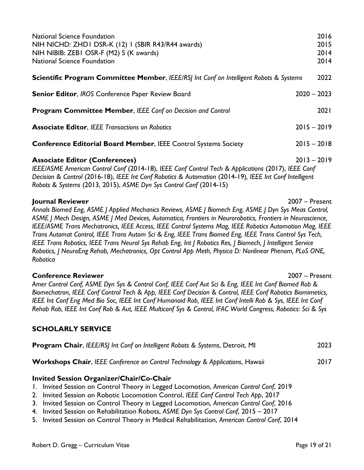| <b>National Science Foundation</b><br>NIH NICHD: ZHDI DSR-K (12) I (SBIR R43/R44 awards)<br>NIH NIBIB: ZEBI OSR-F (M2) S (K awards)<br><b>National Science Foundation</b>                                                                                                                                                                                                                                                                                                                                                                                                                                                                                                                        | 2016<br>2015<br>2014<br>2014 |  |
|--------------------------------------------------------------------------------------------------------------------------------------------------------------------------------------------------------------------------------------------------------------------------------------------------------------------------------------------------------------------------------------------------------------------------------------------------------------------------------------------------------------------------------------------------------------------------------------------------------------------------------------------------------------------------------------------------|------------------------------|--|
| <b>Scientific Program Committee Member, IEEE/RSJ Int Conf on Intelligent Robots &amp; Systems</b>                                                                                                                                                                                                                                                                                                                                                                                                                                                                                                                                                                                                | 2022                         |  |
| Senior Editor, IROS Conference Paper Review Board                                                                                                                                                                                                                                                                                                                                                                                                                                                                                                                                                                                                                                                | $2020 - 2023$                |  |
| Program Committee Member, IEEE Conf on Decision and Control                                                                                                                                                                                                                                                                                                                                                                                                                                                                                                                                                                                                                                      | 2021                         |  |
| <b>Associate Editor, IEEE Transactions on Robotics</b>                                                                                                                                                                                                                                                                                                                                                                                                                                                                                                                                                                                                                                           | $2015 - 2019$                |  |
| <b>Conference Editorial Board Member, IEEE Control Systems Society</b>                                                                                                                                                                                                                                                                                                                                                                                                                                                                                                                                                                                                                           | $2015 - 2018$                |  |
| $2013 - 2019$<br><b>Associate Editor (Conferences)</b><br>IEEE/ASME American Control Conf (2014-18), IEEE Conf Control Tech & Applications (2017), IEEE Conf<br>Decision & Control (2016-18), IEEE Int Conf Robotics & Automation (2014-19), IEEE Int Conf Intelligent<br>Robots & Systems (2013, 2015), ASME Dyn Sys Control Conf (2014-15)                                                                                                                                                                                                                                                                                                                                                     |                              |  |
| Journal Reviewer<br>Annals Biomed Eng, ASME J Applied Mechanics Reviews, ASME J Biomech Eng, ASME J Dyn Sys Meas Control,<br>ASME J Mech Design, ASME J Med Devices, Automatica, Frontiers in Neurorobotics, Frontiers in Neuroscience,<br>IEEE/ASME Trans Mechatronics, IEEE Access, IEEE Control Systems Mag, IEEE Robotics Automation Mag, IEEE<br>Trans Automat Control, IEEE Trans Autom Sci & Eng, IEEE Trans Biomed Eng, IEEE Trans Control Sys Tech,<br>IEEE Trans Robotics, IEEE Trans Neural Sys Rehab Eng, Int   Robotics Res,   Biomech,   Intelligent Service<br>Robotics, J NeuroEng Rehab, Mechatronics, Opt Control App Meth, Physica D: Nonlinear Phenom, PLoS ONE,<br>Robotica | 2007 - Present               |  |
| <b>Conference Reviewer</b><br>$2007 -$ Present<br>Amer Control Conf, ASME Dyn Sys & Control Conf, IEEE Conf Aut Sci & Eng, IEEE Int Conf Biomed Rob &<br>Biomechatron, IEEE Conf Control Tech & App, IEEE Conf Decision & Control, IEEE Conf Robotics Biomimetics,<br>IEEE Int Conf Eng Med Bio Soc, IEEE Int Conf Humanoid Rob, IEEE Int Conf Intelli Rob & Sys, IEEE Int Conf<br>Rehab Rob, IEEE Int Conf Rob & Aut, IEEE Multiconf Sys & Control, IFAC World Congress, Robotics: Sci & Sys                                                                                                                                                                                                    |                              |  |
| <b>SCHOLARLY SERVICE</b>                                                                                                                                                                                                                                                                                                                                                                                                                                                                                                                                                                                                                                                                         |                              |  |
| Program Chair, IEEE/RSJ Int Conf on Intelligent Robots & Systems, Detroit, MI                                                                                                                                                                                                                                                                                                                                                                                                                                                                                                                                                                                                                    | 2023                         |  |
| Workshops Chair, IEEE Conference on Control Technology & Applications, Hawaii                                                                                                                                                                                                                                                                                                                                                                                                                                                                                                                                                                                                                    | 2017                         |  |
| <b>Invited Session Organizer/Chair/Co-Chair</b><br>Invited Session on Control Theory in Legged Locomotion, American Control Conf, 2019<br>Ι.<br>2. Invited Session on Robotic Locomotion Control, IEEE Conf Control Tech App, 2017<br>3. Invited Session on Control Theory in Legged Locomotion, American Control Conf, 2016<br>4. Invited Session on Rehabilitation Robots, ASME Dyn Sys Control Conf, 2015 - 2017                                                                                                                                                                                                                                                                              |                              |  |

5. Invited Session on Control Theory in Medical Rehabilitation, *American Control Conf*, 2014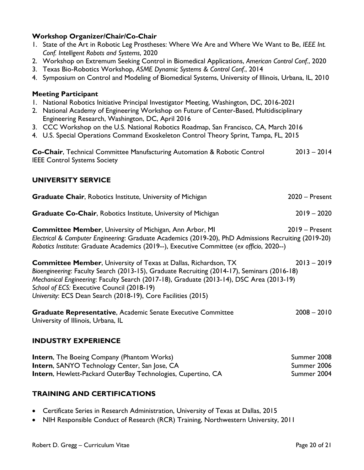### **Workshop Organizer/Chair/Co-Chair**

- 1. State of the Art in Robotic Leg Prostheses: Where We Are and Where We Want to Be, *IEEE Int. Conf. Intelligent Robots and Systems*, 2020
- 2. Workshop on Extremum Seeking Control in Biomedical Applications, *American Control Conf.*, 2020
- 3. Texas Bio-Robotics Workshop, *ASME Dynamic Systems & Control Conf.*, 2014
- 4. Symposium on Control and Modeling of Biomedical Systems, University of Illinois, Urbana, IL, 2010

#### **Meeting Participant**

- 1. National Robotics Initiative Principal Investigator Meeting, Washington, DC, 2016-2021
- 2. National Academy of Engineering Workshop on Future of Center-Based, Multidisciplinary Engineering Research, Washington, DC, April 2016
- 3. CCC Workshop on the U.S. National Robotics Roadmap, San Francisco, CA, March 2016
- 4. U.S. Special Operations Command Exoskeleton Control Theory Sprint, Tampa, FL, 2015

| Co-Chair, Technical Committee Manufacturing Automation & Robotic Control | $2013 - 2014$ |
|--------------------------------------------------------------------------|---------------|
| <b>IEEE Control Systems Society</b>                                      |               |

### **UNIVERSITY SERVICE**

| $\bullet$ . We also $\bullet$ . Then, a reported institute, $\bullet$ . The sity of a fitting $\bullet$ |                  |
|---------------------------------------------------------------------------------------------------------|------------------|
| <b>Graduate Co-Chair, Robotics Institute, University of Michigan</b>                                    | $2019 - 2020$    |
| <b>Committee Member, University of Michigan, Ann Arbor, MI</b>                                          | $2019 -$ Present |
| Electrical & Computer Engineering: Graduate Academics (2019-20), PhD Admissions Recruiting (2019-20)    |                  |
| Robotics Institute: Graduate Academics (2019--), Executive Committee (ex officio, 2020--)               |                  |

**Graduate Chair**, Robotics Institute, University of Michigan 2020 – Present

**Committee Member**, University of Texas at Dallas, Richardson, TX 2013 – 2019 *Bioengineering*: Faculty Search (2013-15), Graduate Recruiting (2014-17), Seminars (2016-18) *Mechanical Engineering*: Faculty Search (2017-18), Graduate (2013-14), DSC Area (2013-19) *School of ECS:* Executive Council (2018-19) *University*: ECS Dean Search (2018-19), Core Facilities (2015)

**Graduate Representative**, Academic Senate Executive Committee 2008 – 2010 University of Illinois, Urbana, IL

### **INDUSTRY EXPERIENCE**

| <b>Intern, The Boeing Company (Phantom Works)</b>                   | Summer 2008 |
|---------------------------------------------------------------------|-------------|
| <b>Intern, SANYO Technology Center, San Jose, CA</b>                | Summer 2006 |
| <b>Intern, Hewlett-Packard OuterBay Technologies, Cupertino, CA</b> | Summer 2004 |

### **TRAINING AND CERTIFICATIONS**

- Certificate Series in Research Administration, University of Texas at Dallas, 2015
- NIH Responsible Conduct of Research (RCR) Training, Northwestern University, 2011